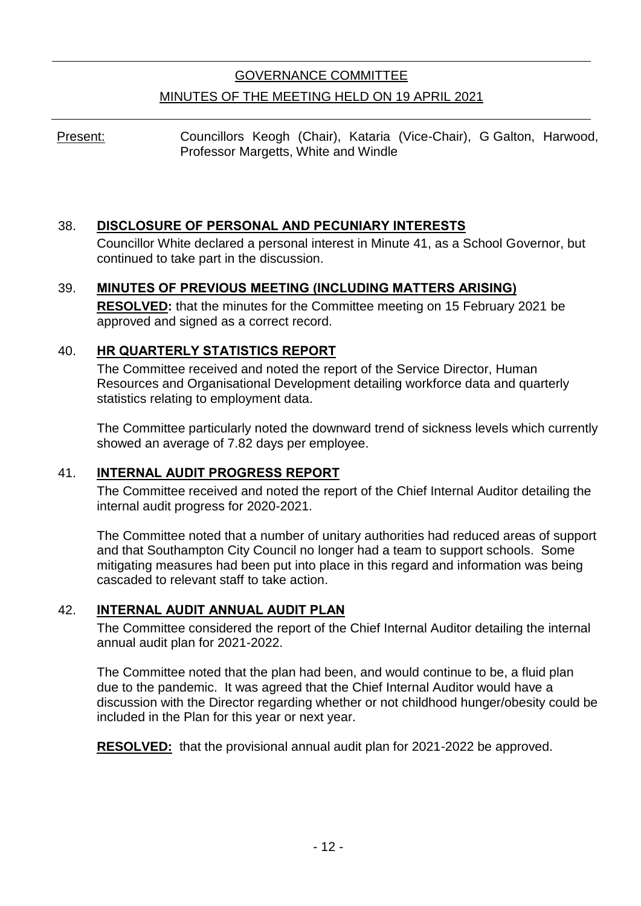# GOVERNANCE COMMITTEE MINUTES OF THE MEETING HELD ON 19 APRIL 2021

Present: Councillors Keogh (Chair), Kataria (Vice-Chair), G Galton, Harwood, Professor Margetts, White and Windle

## 38. **DISCLOSURE OF PERSONAL AND PECUNIARY INTERESTS**

Councillor White declared a personal interest in Minute 41, as a School Governor, but continued to take part in the discussion.

### 39. **MINUTES OF PREVIOUS MEETING (INCLUDING MATTERS ARISING)**

**RESOLVED:** that the minutes for the Committee meeting on 15 February 2021 be approved and signed as a correct record.

## 40. **HR QUARTERLY STATISTICS REPORT**

The Committee received and noted the report of the Service Director, Human Resources and Organisational Development detailing workforce data and quarterly statistics relating to employment data.

The Committee particularly noted the downward trend of sickness levels which currently showed an average of 7.82 days per employee.

### 41. **INTERNAL AUDIT PROGRESS REPORT**

The Committee received and noted the report of the Chief Internal Auditor detailing the internal audit progress for 2020-2021.

The Committee noted that a number of unitary authorities had reduced areas of support and that Southampton City Council no longer had a team to support schools. Some mitigating measures had been put into place in this regard and information was being cascaded to relevant staff to take action.

### 42. **INTERNAL AUDIT ANNUAL AUDIT PLAN**

The Committee considered the report of the Chief Internal Auditor detailing the internal annual audit plan for 2021-2022.

The Committee noted that the plan had been, and would continue to be, a fluid plan due to the pandemic. It was agreed that the Chief Internal Auditor would have a discussion with the Director regarding whether or not childhood hunger/obesity could be included in the Plan for this year or next year.

**RESOLVED:** that the provisional annual audit plan for 2021-2022 be approved.